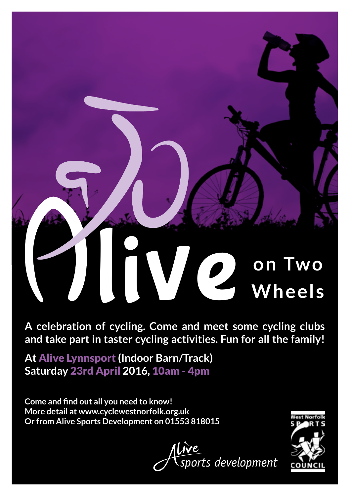## **live Company most company line clubs Wheels**

**A celebration of cycling. Come and meet some cycling clubs and take part in taster cycling activities. Fun for all the family!**

**At** Alive Lynnsport **(Indoor Barn/Track) Saturday** 23rd April **2016,** 10am - 4pm

**Come and find out all you need to know! More detail at www.cyclewestnorfolk.org.uk Or from Alive Sports Development on 01553 818015**